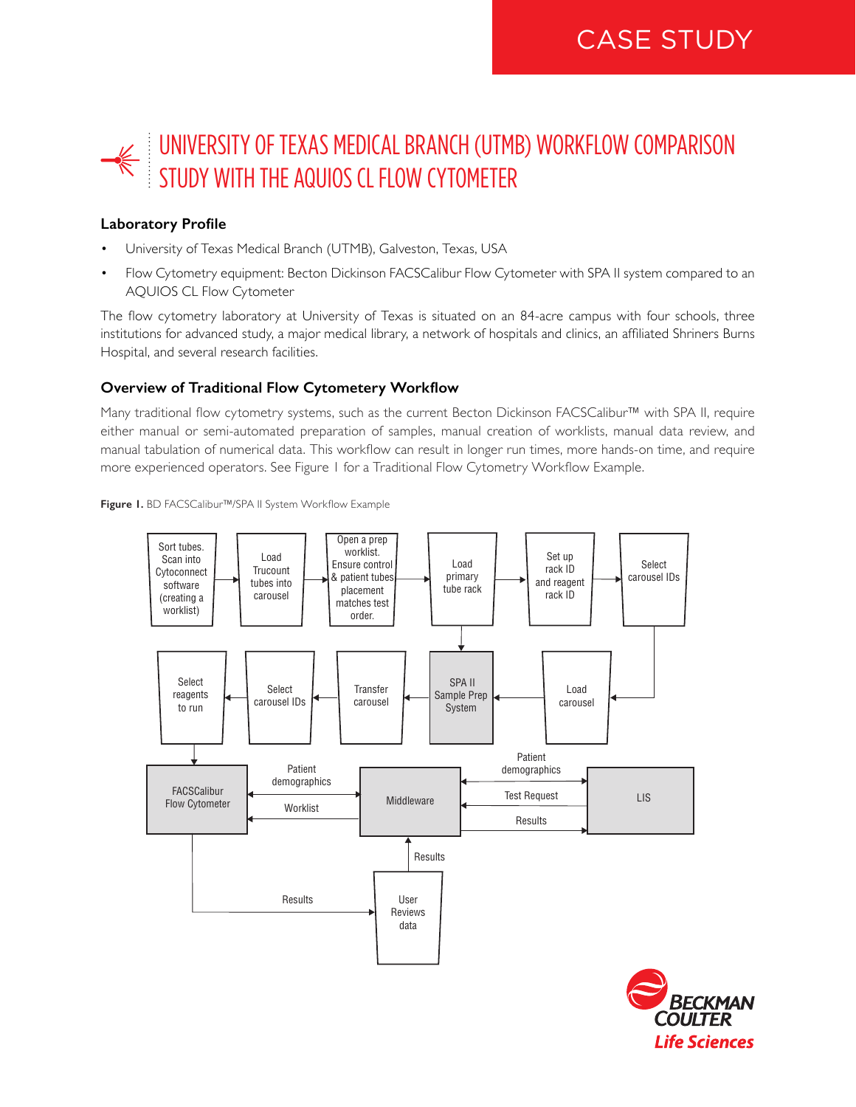# UNIVERSITY OF TEXAS MEDICAL BRANCH (UTMB) WORKFLOW COMPARISON STUDY WITH THE AQUIOS CL FLOW CYTOMETER

## **Laboratory Profile**

- University of Texas Medical Branch (UTMB), Galveston, Texas, USA
- Flow Cytometry equipment: Becton Dickinson FACSCalibur Flow Cytometer with SPA II system compared to an AQUIOS CL Flow Cytometer

The flow cytometry laboratory at University of Texas is situated on an 84-acre campus with four schools, three institutions for advanced study, a major medical library, a network of hospitals and clinics, an affiliated Shriners Burns Hospital, and several research facilities.

## **Overview of Traditional Flow Cytometery Workflow**

Many traditional flow cytometry systems, such as the current Becton Dickinson FACSCalibur™ with SPA II, require either manual or semi-automated preparation of samples, manual creation of worklists, manual data review, and manual tabulation of numerical data. This workflow can result in longer run times, more hands-on time, and require more experienced operators. See Figure 1 for a Traditional Flow Cytometry Workflow Example.





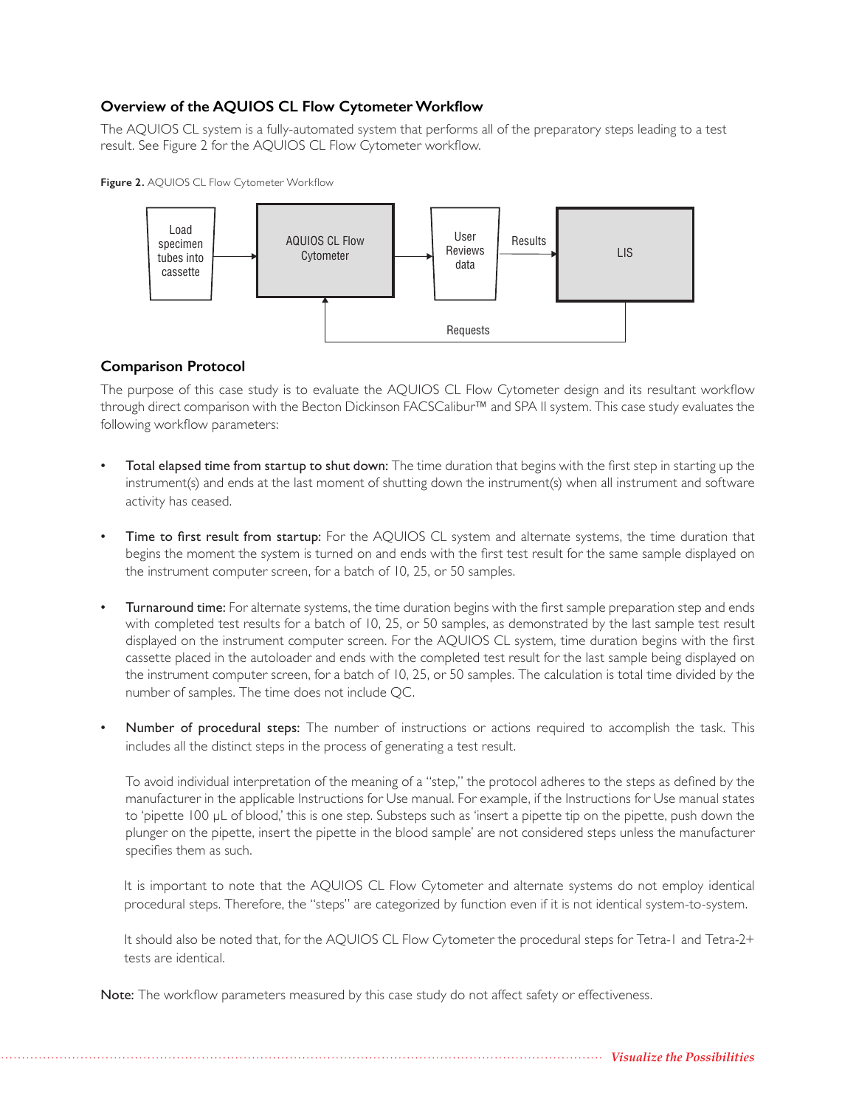# **Overview of the AQUIOS CL Flow Cytometer Workflow**

The AQUIOS CL system is a fully-automated system that performs all of the preparatory steps leading to a test result. See Figure 2 for the AQUIOS CL Flow Cytometer workflow.

**Figure 2.** AQUIOS CL Flow Cytometer Workflow



## **Comparison Protocol**

The purpose of this case study is to evaluate the AQUIOS CL Flow Cytometer design and its resultant workflow through direct comparison with the Becton Dickinson FACSCalibur™ and SPA II system. This case study evaluates the following workflow parameters:

- Total elapsed time from startup to shut down: The time duration that begins with the first step in starting up the instrument(s) and ends at the last moment of shutting down the instrument(s) when all instrument and software activity has ceased.
- Time to first result from startup: For the AQUIOS CL system and alternate systems, the time duration that begins the moment the system is turned on and ends with the first test result for the same sample displayed on the instrument computer screen, for a batch of 10, 25, or 50 samples.
- Turnaround time: For alternate systems, the time duration begins with the first sample preparation step and ends with completed test results for a batch of 10, 25, or 50 samples, as demonstrated by the last sample test result displayed on the instrument computer screen. For the AQUIOS CL system, time duration begins with the first cassette placed in the autoloader and ends with the completed test result for the last sample being displayed on the instrument computer screen, for a batch of 10, 25, or 50 samples. The calculation is total time divided by the number of samples. The time does not include QC.
- Number of procedural steps: The number of instructions or actions required to accomplish the task. This includes all the distinct steps in the process of generating a test result.

To avoid individual interpretation of the meaning of a "step," the protocol adheres to the steps as defined by the manufacturer in the applicable Instructions for Use manual. For example, if the Instructions for Use manual states to 'pipette 100 μL of blood,' this is one step. Substeps such as 'insert a pipette tip on the pipette, push down the plunger on the pipette, insert the pipette in the blood sample' are not considered steps unless the manufacturer specifies them as such.

It is important to note that the AQUIOS CL Flow Cytometer and alternate systems do not employ identical procedural steps. Therefore, the "steps" are categorized by function even if it is not identical system-to-system.

It should also be noted that, for the AQUIOS CL Flow Cytometer the procedural steps for Tetra-1 and Tetra-2+ tests are identical.

Note: The workflow parameters measured by this case study do not affect safety or effectiveness.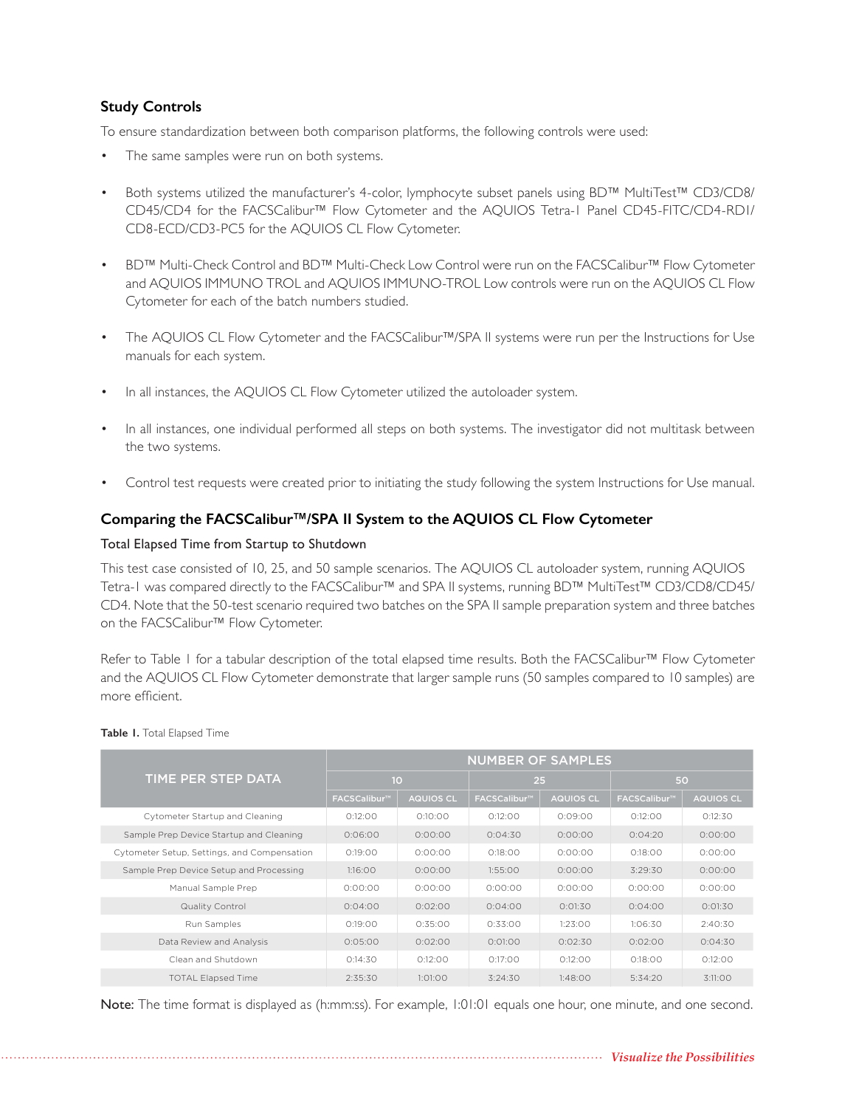# **Study Controls**

To ensure standardization between both comparison platforms, the following controls were used:

- The same samples were run on both systems.
- Both systems utilized the manufacturer's 4-color, lymphocyte subset panels using BD™ MultiTest™ CD3/CD8/ CD45/CD4 for the FACSCalibur™ Flow Cytometer and the AQUIOS Tetra-1 Panel CD45-FITC/CD4-RD1/ CD8-ECD/CD3-PC5 for the AQUIOS CL Flow Cytometer.
- BD™ Multi-Check Control and BD™ Multi-Check Low Control were run on the FACSCalibur™ Flow Cytometer and AQUIOS IMMUNO TROL and AQUIOS IMMUNO-TROL Low controls were run on the AQUIOS CL Flow Cytometer for each of the batch numbers studied.
- The AQUIOS CL Flow Cytometer and the FACSCalibur™/SPA II systems were run per the Instructions for Use manuals for each system.
- In all instances, the AQUIOS CL Flow Cytometer utilized the autoloader system.
- In all instances, one individual performed all steps on both systems. The investigator did not multitask between the two systems.
- Control test requests were created prior to initiating the study following the system Instructions for Use manual.

## **Comparing the FACSCalibur™/SPA II System to the AQUIOS CL Flow Cytometer**

## Total Elapsed Time from Startup to Shutdown

This test case consisted of 10, 25, and 50 sample scenarios. The AQUIOS CL autoloader system, running AQUIOS Tetra-1 was compared directly to the FACSCalibur™ and SPA II systems, running BD™ MultiTest™ CD3/CD8/CD45/ CD4. Note that the 50-test scenario required two batches on the SPA II sample preparation system and three batches on the FACSCalibur™ Flow Cytometer.

Refer to Table 1 for a tabular description of the total elapsed time results. Both the FACSCalibur™ Flow Cytometer and the AQUIOS CL Flow Cytometer demonstrate that larger sample runs (50 samples compared to 10 samples) are more efficient.

|                                             | <b>NUMBER OF SAMPLES</b> |                  |                          |                  |                          |                  |  |
|---------------------------------------------|--------------------------|------------------|--------------------------|------------------|--------------------------|------------------|--|
| TIME PER STEP DATA                          | 10                       |                  | 25                       |                  | 50                       |                  |  |
|                                             | FACSCalibur <sup>™</sup> | <b>AQUIOS CL</b> | FACSCalibur <sup>™</sup> | <b>AQUIOS CL</b> | FACSCalibur <sup>™</sup> | <b>AQUIOS CL</b> |  |
| Cytometer Startup and Cleaning              | 0:12:00                  | 0:10:00          | 0:12:00                  | 0:09:00          | 0:12:00                  | 0:12:30          |  |
| Sample Prep Device Startup and Cleaning     | 0:06:00                  | 0:00:00          | 0:04:30                  | 0:00:00          | 0:04:20                  | 0:00:00          |  |
| Cytometer Setup, Settings, and Compensation | 0:19:00                  | 0:00:00          | 0:18:00                  | 0:00:00          | 0:18:00                  | 0:00:00          |  |
| Sample Prep Device Setup and Processing     | 1:16:00                  | 0:00:00          | 1:55:00                  | 0:00:00          | 3:29:30                  | 0:00:00          |  |
| Manual Sample Prep                          | 0:00:00                  | 0:00:00          | 0:00:00                  | 0:00:00          | 0:00:00                  | 0:00:00          |  |
| Quality Control                             | 0:04:00                  | 0:02:00          | 0:04:00                  | 0:01:30          | 0:04:00                  | 0:01:30          |  |
| Run Samples                                 | 0:19:00                  | 0:35:00          | 0:33:00                  | 1:23:00          | 1:06:30                  | 2:40:30          |  |
| Data Review and Analysis                    | 0:05:00                  | 0:02:00          | 0:01:00                  | 0:02:30          | 0:02:00                  | 0:04:30          |  |
| Clean and Shutdown                          | 0:14:30                  | 0:12:00          | 0:17:00                  | 0:12:00          | 0:18:00                  | 0:12:00          |  |
| <b>TOTAL Elapsed Time</b>                   | 2:35:30                  | 1:01:00          | 3:24:30                  | 1:48:00          | 5:34:20                  | 3:11:00          |  |

#### **Table 1.** Total Elapsed Time

Note: The time format is displayed as (h:mm:ss). For example, 1:01:01 equals one hour, one minute, and one second.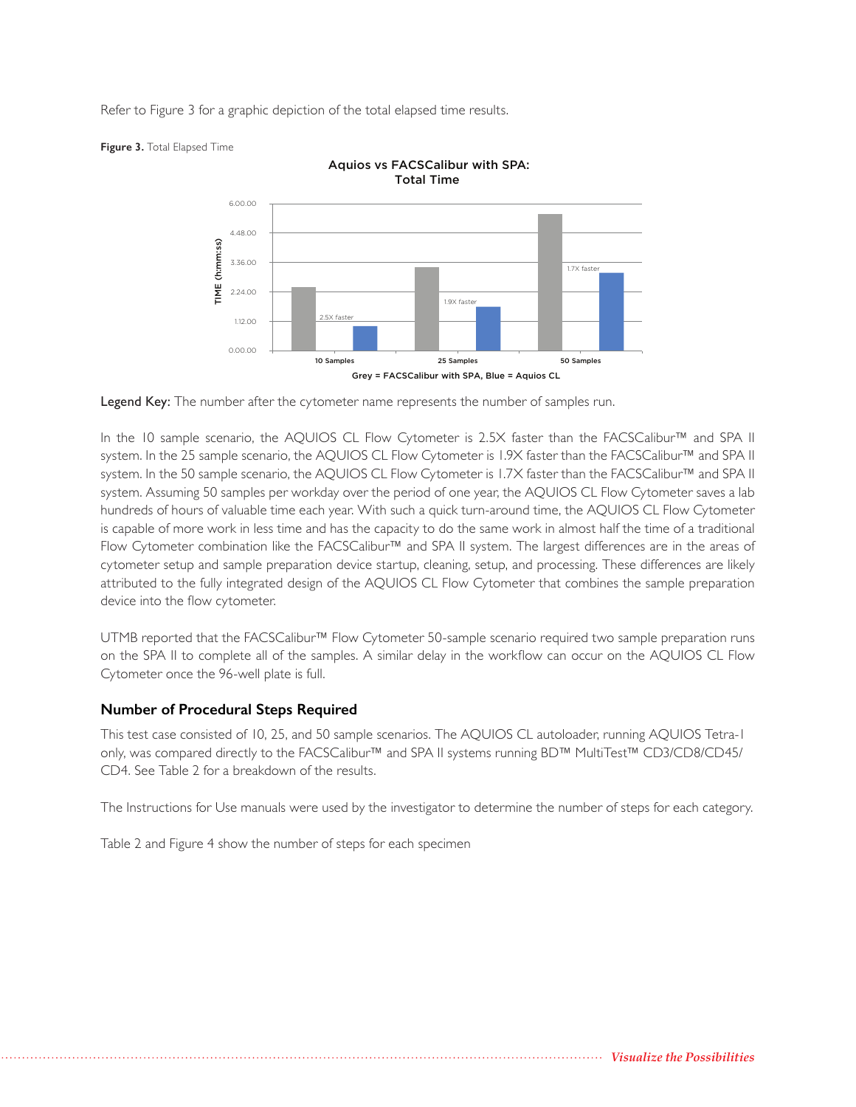Refer to Figure 3 for a graphic depiction of the total elapsed time results.



Aquios vs FACSCalibur with SPA:

**Figure 3.** Total Elapsed Time

Legend Key: The number after the cytometer name represents the number of samples run.

In the 10 sample scenario, the AQUIOS CL Flow Cytometer is 2.5X faster than the FACSCalibur™ and SPA II system. In the 25 sample scenario, the AQUIOS CL Flow Cytometer is 1.9X faster than the FACSCalibur™ and SPA II system. In the 50 sample scenario, the AQUIOS CL Flow Cytometer is 1.7X faster than the FACSCalibur™ and SPA II system. Assuming 50 samples per workday over the period of one year, the AQUIOS CL Flow Cytometer saves a lab hundreds of hours of valuable time each year. With such a quick turn-around time, the AQUIOS CL Flow Cytometer is capable of more work in less time and has the capacity to do the same work in almost half the time of a traditional Flow Cytometer combination like the FACSCalibur™ and SPA II system. The largest differences are in the areas of cytometer setup and sample preparation device startup, cleaning, setup, and processing. These differences are likely attributed to the fully integrated design of the AQUIOS CL Flow Cytometer that combines the sample preparation device into the flow cytometer.

UTMB reported that the FACSCalibur™ Flow Cytometer 50-sample scenario required two sample preparation runs on the SPA II to complete all of the samples. A similar delay in the workflow can occur on the AQUIOS CL Flow Cytometer once the 96-well plate is full.

## **Number of Procedural Steps Required**

This test case consisted of 10, 25, and 50 sample scenarios. The AQUIOS CL autoloader, running AQUIOS Tetra-1 only, was compared directly to the FACSCalibur™ and SPA II systems running BD™ MultiTest™ CD3/CD8/CD45/ CD4. See Table 2 for a breakdown of the results.

The Instructions for Use manuals were used by the investigator to determine the number of steps for each category.

Table 2 and Figure 4 show the number of steps for each specimen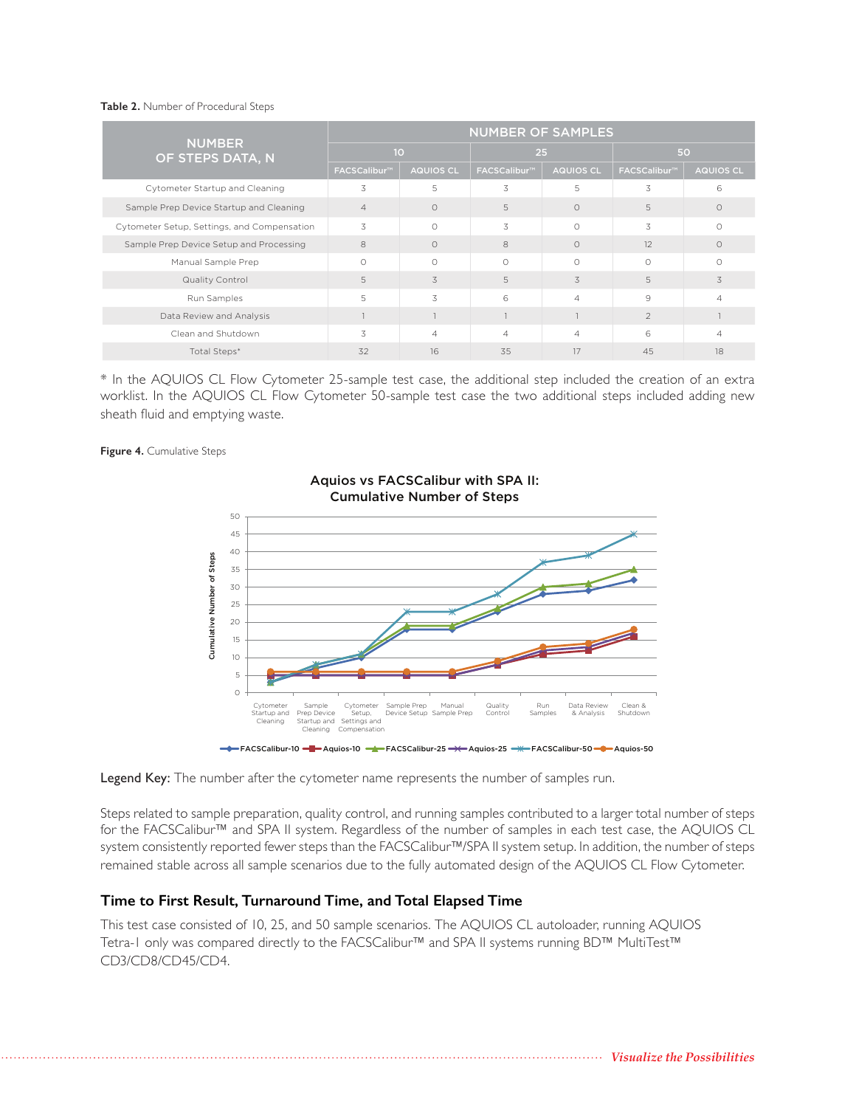#### **Table 2.** Number of Procedural Steps

| <b>NUMBER</b><br>OF STEPS DATA, N           | <b>NUMBER OF SAMPLES</b> |                  |                          |                  |                          |                  |  |
|---------------------------------------------|--------------------------|------------------|--------------------------|------------------|--------------------------|------------------|--|
|                                             | 10                       |                  | 25                       |                  | 50                       |                  |  |
|                                             | FACSCalibur <sup>™</sup> | <b>AQUIOS CL</b> | FACSCalibur <sup>™</sup> | <b>AQUIOS CL</b> | FACSCalibur <sup>™</sup> | <b>AQUIOS CL</b> |  |
| Cytometer Startup and Cleaning              | 3                        | 5                | 3                        | 5                | 3                        | 6                |  |
| Sample Prep Device Startup and Cleaning     | $\overline{4}$           | $\circ$          | 5                        | $\circ$          | 5                        | $\circ$          |  |
| Cytometer Setup, Settings, and Compensation | 3                        | $\bigcirc$       | 3                        | $\bigcirc$       | 3                        | $\Omega$         |  |
| Sample Prep Device Setup and Processing     | 8                        | $\Omega$         | 8                        | $\Omega$         | 12                       | $\Omega$         |  |
| Manual Sample Prep                          | $\bigcap$                | $\bigcirc$       | $\bigcirc$               | $\Omega$         | $\bigcirc$               | $\bigcap$        |  |
| Quality Control                             | 5                        | 3                | 5                        | 3                | 5                        | 3                |  |
| Run Samples                                 | 5                        | 3                | 6                        | $\overline{4}$   | 9                        | $\Delta$         |  |
| Data Review and Analysis                    |                          |                  |                          |                  | $\overline{2}$           |                  |  |
| Clean and Shutdown                          | 3                        | $\overline{4}$   | 4                        | $\overline{4}$   | 6                        | $\overline{A}$   |  |
| Total Steps*                                | 32                       | 16               | 35                       | 17               | 45                       | 18               |  |

\* In the AQUIOS CL Flow Cytometer 25-sample test case, the additional step included the creation of an extra worklist. In the AQUIOS CL Flow Cytometer 50-sample test case the two additional steps included adding new sheath fluid and emptying waste.

**Figure 4.** Cumulative Steps



## Aquios vs FACSCalibur with SPA II: Cumulative Number of Steps

Legend Key: The number after the cytometer name represents the number of samples run.

Steps related to sample preparation, quality control, and running samples contributed to a larger total number of steps for the FACSCalibur™ and SPA II system. Regardless of the number of samples in each test case, the AQUIOS CL system consistently reported fewer steps than the FACSCalibur™/SPA II system setup. In addition, the number of steps remained stable across all sample scenarios due to the fully automated design of the AQUIOS CL Flow Cytometer. Example 1<br>
Example 1<br>
Example 1<br>
Example 1<br>
Steps related to sample<br>
Steps related to sample<br>
for the FACSCalibur™ is<br>
system consistently report<br>
remained stable across is<br>
Time to First Result<br>
This test case consisted<br>

## **Time to First Result, Turnaround Time, and Total Elapsed Time**

This test case consisted of 10, 25, and 50 sample scenarios. The AQUIOS CL autoloader, running AQUIOS Tetra-1 only was compared directly to the FACSCalibur™ and SPA II systems running BD™ MultiTest™

*Visualize the Possibilities*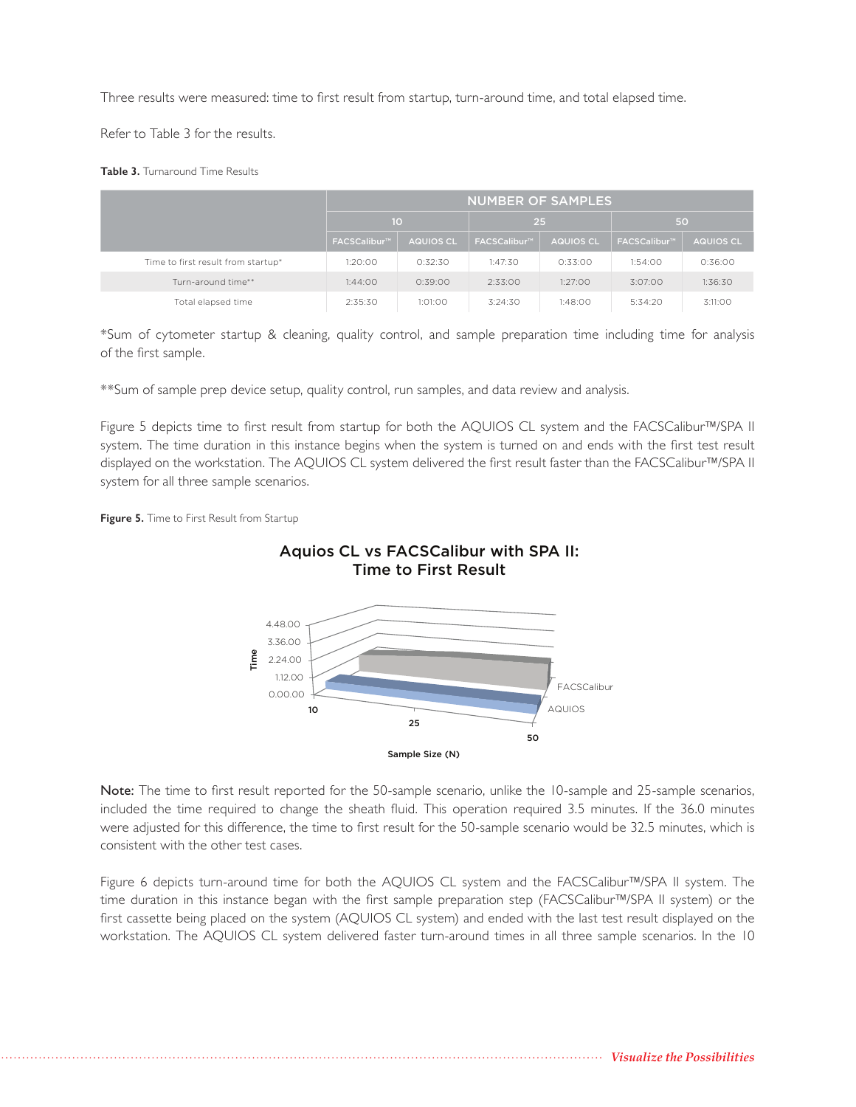Three results were measured: time to first result from startup, turn-around time, and total elapsed time.

Refer to Table 3 for the results.

**Table 3.** Turnaround Time Results

|                                    | <b>NUMBER OF SAMPLES</b> |                  |              |                  |                          |           |  |
|------------------------------------|--------------------------|------------------|--------------|------------------|--------------------------|-----------|--|
|                                    | 10                       |                  | 25           |                  | 50                       |           |  |
|                                    | FACSCalibur <sup>™</sup> | <b>AQUIOS CL</b> | FACSCalibur™ | <b>AQUIOS CL</b> | FACSCalibur <sup>™</sup> | AQUIOS CL |  |
| Time to first result from startup* | 1:20:00                  | 0:32:30          | 1:47:30      | 0:33:00          | 1:54:00                  | 0:36:00   |  |
| Turn-around time**                 | 1:44:00                  | 0:39:00          | 2:33:00      | 1:27:00          | 3:07:00                  | 1:36:30   |  |
| Total elapsed time                 | 2:35:30                  | 1:01:00          | 3:24:30      | 1:48:00          | 5:34:20                  | 3:11:00   |  |

\*Sum of cytometer startup & cleaning, quality control, and sample preparation time including time for analysis of the first sample.

\*\*Sum of sample prep device setup, quality control, run samples, and data review and analysis.

Figure 5 depicts time to first result from startup for both the AQUIOS CL system and the FACSCalibur™/SPA II system. The time duration in this instance begins when the system is turned on and ends with the first test result displayed on the workstation. The AQUIOS CL system delivered the first result faster than the FACSCalibur™/SPA II system for all three sample scenarios.

**Figure 5.** Time to First Result from Startup



Note: The time to first result reported for the 50-sample scenario, unlike the 10-sample and 25-sample scenarios, included the time required to change the sheath fluid. This operation required 3.5 minutes. If the 36.0 minutes were adjusted for this difference, the time to first result for the 50-sample scenario would be 32.5 minutes, which is consistent with the other test cases.

Figure 6 depicts turn-around time for both the AQUIOS CL system and the FACSCalibur™/SPA II system. The time duration in this instance began with the first sample preparation step (FACSCalibur™/SPA II system) or the first cassette being placed on the system (AQUIOS CL system) and ended with the last test result displayed on the workstation. The AQUIOS CL system delivered faster turn-around times in all three sample scenarios. In the 10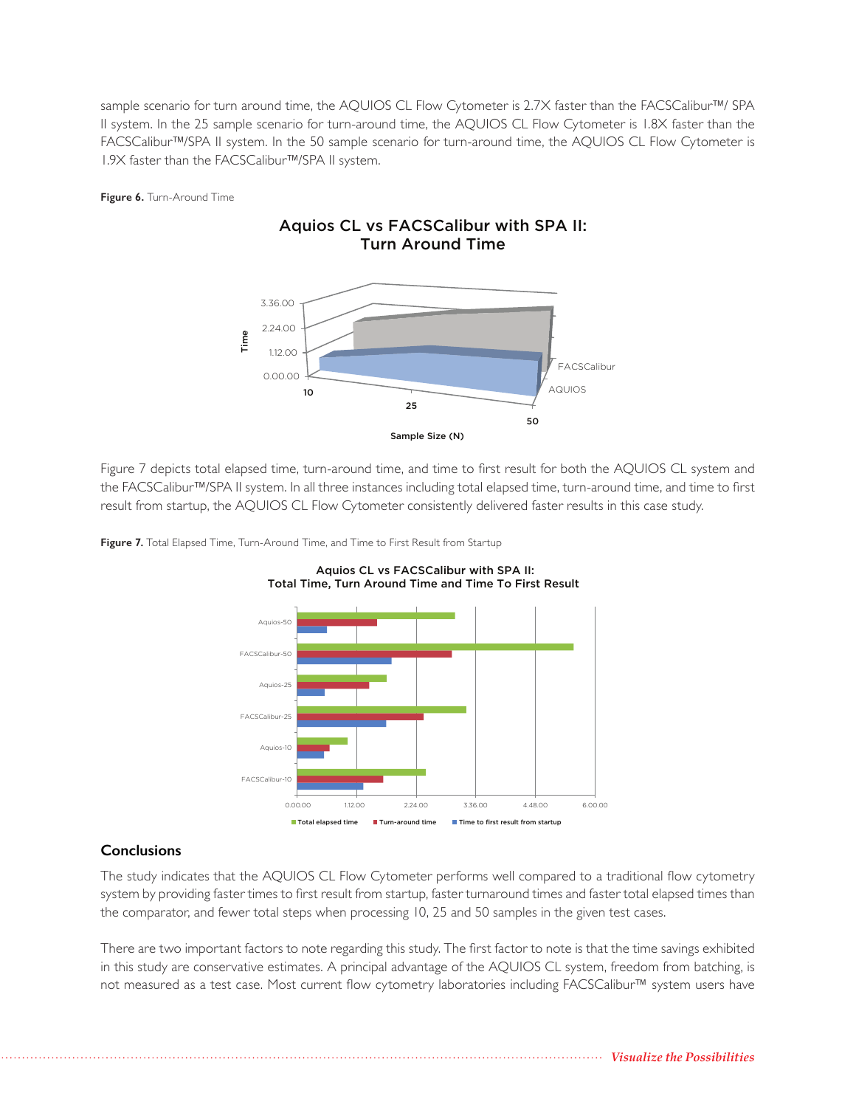sample scenario for turn around time, the AQUIOS CL Flow Cytometer is 2.7X faster than the FACSCalibur™/ SPA II system. In the 25 sample scenario for turn-around time, the AQUIOS CL Flow Cytometer is 1.8X faster than the FACSCalibur™/SPA II system. In the 50 sample scenario for turn-around time, the AQUIOS CL Flow Cytometer is 1.9X faster than the FACSCalibur™/SPA II system.

Aquios CL vs FACSCalibur with SPA II:

**Figure 6.** Turn-Around Time



Figure 7 depicts total elapsed time, turn-around time, and time to first result for both the AQUIOS CL system and the FACSCalibur™/SPA II system. In all three instances including total elapsed time, turn-around time, and time to first result from startup, the AQUIOS CL Flow Cytometer consistently delivered faster results in this case study.

Aquios CL vs FACSCalibur with SPA II:



**Figure 7.** Total Elapsed Time, Turn-Around Time, and Time to First Result from Startup

## **Conclusions**

The study indicates that the AQUIOS CL Flow Cytometer performs well compared to a traditional flow cytometry system by providing faster times to first result from startup, faster turnaround times and faster total elapsed times than the comparator, and fewer total steps when processing 10, 25 and 50 samples in the given test cases.

There are two important factors to note regarding this study. The first factor to note is that the time savings exhibited in this study are conservative estimates. A principal advantage of the AQUIOS CL system, freedom from batching, is not measured as a test case. Most current flow cytometry laboratories including FACSCalibur™ system users have